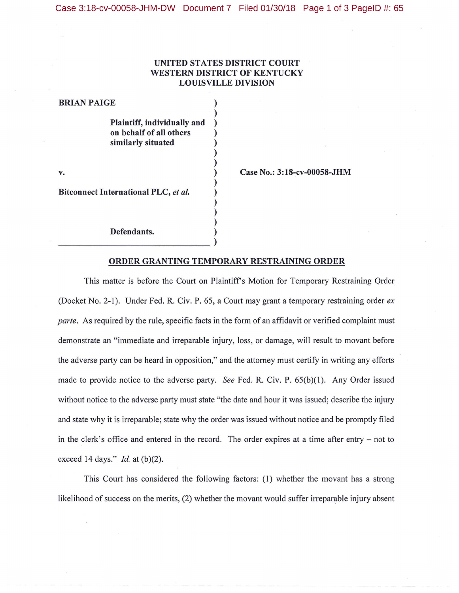## UNITED STATES DISTRICT COURT WESTERN DISTRICT OF KENTUCKY LOUISVILLE DIVISION

| <b>BRIAN PAIGE</b>                   |                             |  |
|--------------------------------------|-----------------------------|--|
|                                      |                             |  |
|                                      | Plaintiff, individually and |  |
|                                      | on behalf of all others     |  |
|                                      | similarly situated          |  |
|                                      |                             |  |
|                                      |                             |  |
| v.                                   |                             |  |
|                                      |                             |  |
| Bitconnect International PLC, et al. |                             |  |
|                                      |                             |  |
|                                      |                             |  |
|                                      |                             |  |
|                                      | Defendants.                 |  |

~~~~~~~~~~~~~~- )

Case No.: 3:18-cv-00058-JHM

## ORDER GRANTING TEMPORARY RESTRAINING ORDER

This matter is before the Court on Plaintiff's Motion for Temporary Restraining Order (Docket No. 2-1). Under Fed. R. Civ. P. 65, a Court may grant a temporary restraining order *ex parte.* As required by the rule, specific facts in the form of an affidavit or verified complaint must demonstrate an "immediate and irreparable injury, loss, or damage, will result to movant before the adverse party can be heard in opposition," and the attorney must certify in writing any efforts made to provide notice to the adverse party. *See* Fed. R. Civ. P. 65(b)(l). Any Order issued without notice to the adverse party must state "the date and hour it was issued; describe the injury and state why it is irreparable; state why the order was issued without notice and be promptly filed in the clerk's office and entered in the record. The order expires at a time after entry – not to exceed 14 days." *Id.* at (b)(2).

This Court has considered the following factors: (1) whether the movant has a strong likelihood of success on the merits, (2) whether the movant would suffer irreparable injury absent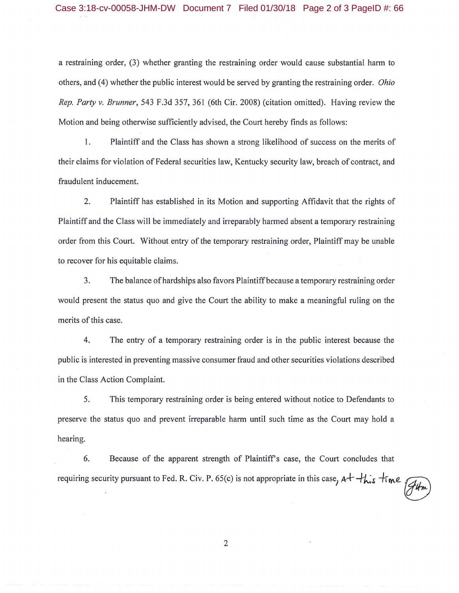a restraining order, (3) whether granting the restraining order would cause substantial harm to others, and ( 4) whether the public interest would be served by granting the restraining order. *Ohio Rep. Party v. Brunner,* 543 F.3d 357, 361 (6th Cir. 2008) (citation omitted). Having review the Motion and being otherwise sufficiently advised, the Court hereby finds as follows:

I. Plaintiff and the Class has shown a strong likelihood of success on the merits of their claims for violation of Federal securities law, Kentucky security law, breach of contract, and fraudulent inducement.

2. Plaintiff has established in its Motion and supporting Affidavit that the rights of Plaintiff and the Class will be immediately and irreparably harmed absent a temporary restraining order from this Court. Without entry of the temporary restraining order, Plaintiff may be unable to recover for his equitable claims.

3. The balance of hardships also favors Plaintiff because a temporary restraining order would present the status quo and give the Court the ability to make a meaningful ruling on the merits of this case.

4. The entry of a temporary restraining order is in the public interest because the public is interested in preventing massive consumer fraud and other securities violations described in the Class Action Complaint.

5. This temporary restraining order is being entered without notice to Defendants to preserve the status quo and prevent irreparable harm **until** such time as the Court may hold a hearing.

6. Because of the apparent strength of Plaintiff's case, the Court concludes that requiring security pursuant to Fed. R. Civ. P. 65(c) is not appropriate in this case,  $A^+$  <sup>+</sup> *this*  $+$  *i*me (*A*<sup>t</sup>/*m* 

2